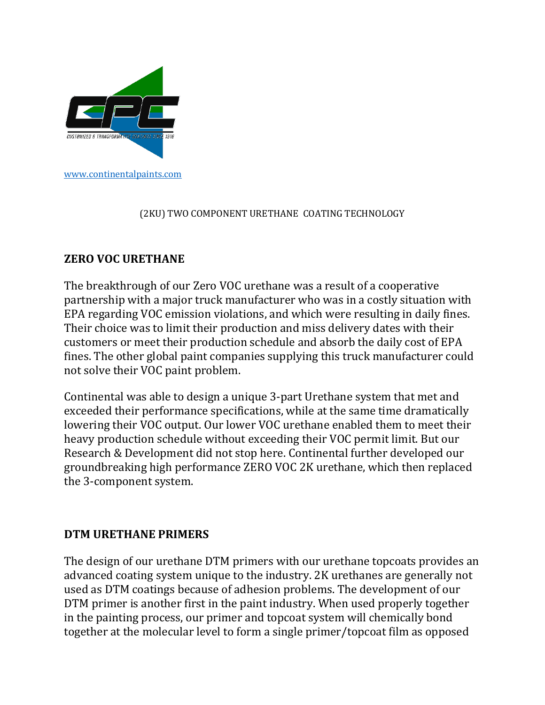

## (2KU) TWO COMPONENT URETHANE COATING TECHNOLOGY

## **ZERO VOC URETHANE**

The breakthrough of our Zero VOC urethane was a result of a cooperative partnership with a major truck manufacturer who was in a costly situation with EPA regarding VOC emission violations, and which were resulting in daily fines. Their choice was to limit their production and miss delivery dates with their customers or meet their production schedule and absorb the daily cost of EPA fines. The other global paint companies supplying this truck manufacturer could not solve their VOC paint problem.

Continental was able to design a unique 3-part Urethane system that met and exceeded their performance specifications, while at the same time dramatically lowering their VOC output. Our lower VOC urethane enabled them to meet their heavy production schedule without exceeding their VOC permit limit. But our Research & Development did not stop here. Continental further developed our groundbreaking high performance ZERO VOC 2K urethane, which then replaced the 3-component system.

## **DTM URETHANE PRIMERS**

The design of our urethane DTM primers with our urethane topcoats provides an advanced coating system unique to the industry. 2K urethanes are generally not used as DTM coatings because of adhesion problems. The development of our DTM primer is another first in the paint industry. When used properly together in the painting process, our primer and topcoat system will chemically bond together at the molecular level to form a single primer/topcoat film as opposed